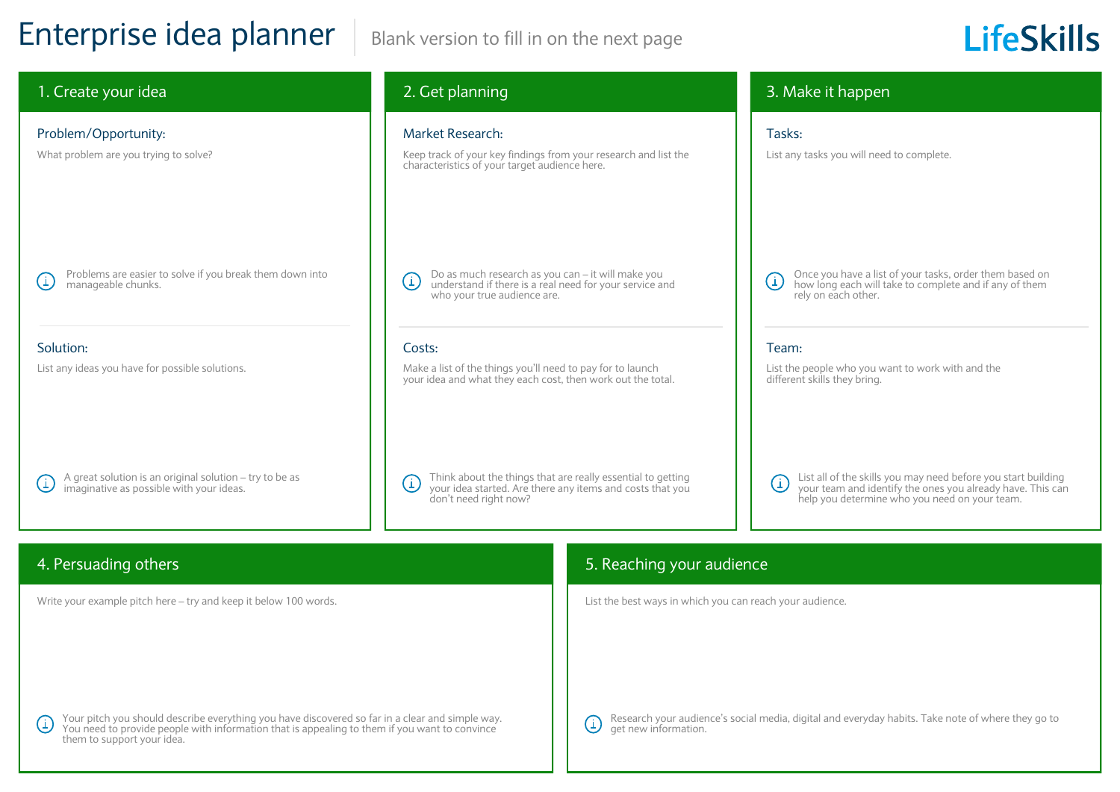## Enterprise idea planner | Blank version to fill in on the next page

# **LifeSkills**

### 1. Create your idea 2. Get planning 3. Make it happen Problem/Opportunity: and the second contract of the Market Research: Tasks: Tasks: Tasks: Tasks: Tasks: Tasks: What problem are you trying to solve? Keep track of your key findings from your research and list the List any tasks you will need to complete. characteristics of your target audience here. Problems are easier to solve if you break them down into Do as much research as you can – it will make you Once you have a list of your tasks, order them based on  $\bigcirc$  $\left( \frac{1}{2} \right)$ (i) understand if there is a real need for your service and manageable chunks. how long each will take to complete and if any of them who your true audience are. rely on each other. Solution: Costs: Team: List any ideas you have for possible solutions. Make a list of the things you'll need to pay for to launch List the people who you want to work with and the your idea and what they each cost, then work out the total. different skills they bring. A great solution is an original solution – try to be as Think about the things that are really essential to getting List all of the skills you may need before you start building  $(i)$  $(i)$  $(i)$ imaginative as possible with your ideas. your idea started. Are there any items and costs that you your team and identify the ones you already have. This can don't need right now? help you determine who you need on your team. 4. Persuading others 5. Reaching your audience Write your example pitch here – try and keep it below 100 words. List the best ways in which you can reach your audience.

Your pitch you should describe everything you have discovered so far in a clear and simple way.  $\bigcirc$ You need to provide people with information that is appealing to them if you want to convince them to support your idea.

 $\bigcirc$ 

Research your audience's social media, digital and everyday habits. Take note of where they go to get new information.